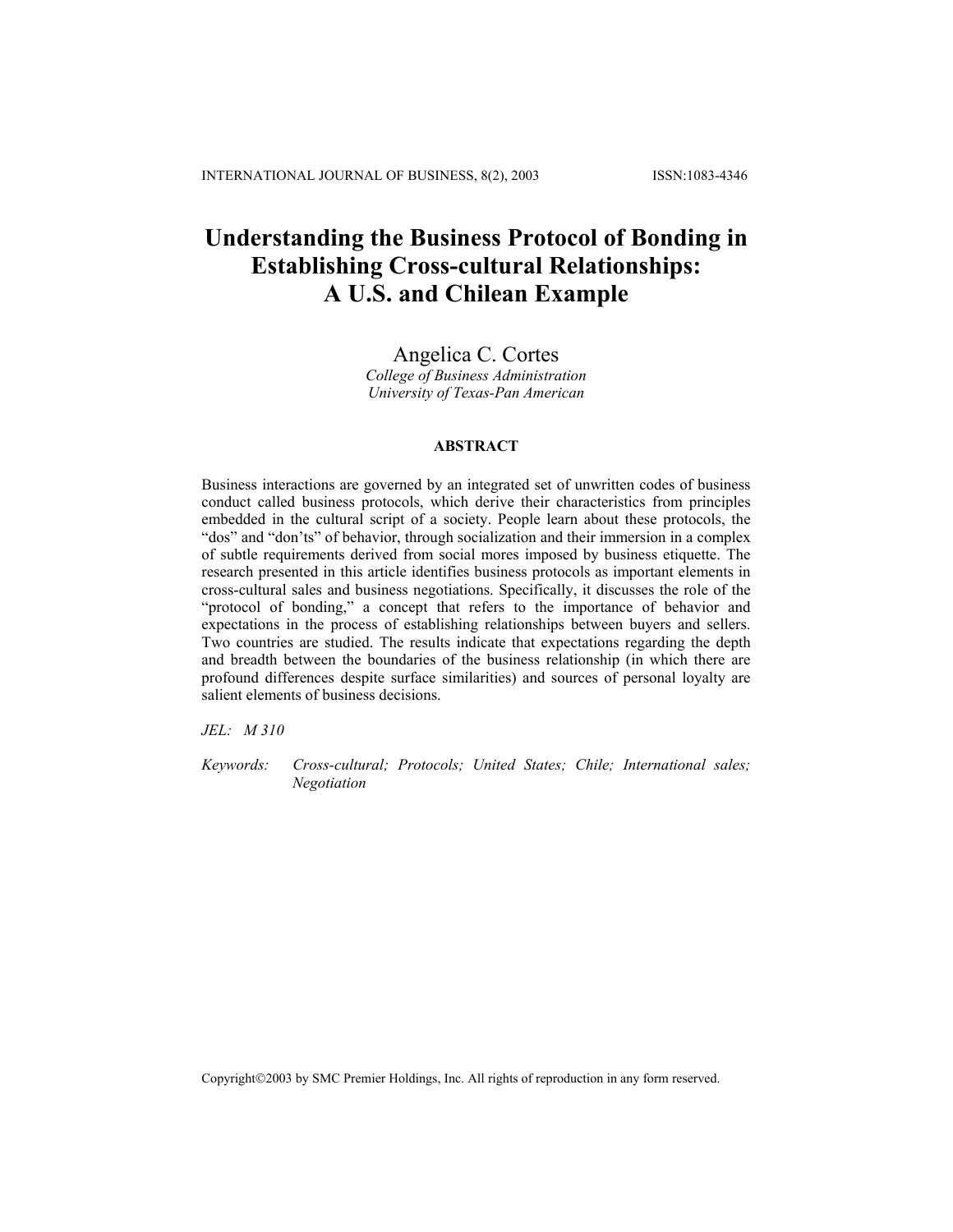# **Understanding the Business Protocol of Bonding in Establishing Cross-cultural Relationships: A U.S. and Chilean Example**

## Angelica C. Cortes

*College of Business Administration University of Texas-Pan American*

#### **ABSTRACT**

Business interactions are governed by an integrated set of unwritten codes of business conduct called business protocols, which derive their characteristics from principles embedded in the cultural script of a society. People learn about these protocols, the "dos" and "don'ts" of behavior, through socialization and their immersion in a complex of subtle requirements derived from social mores imposed by business etiquette. The research presented in this article identifies business protocols as important elements in cross-cultural sales and business negotiations. Specifically, it discusses the role of the "protocol of bonding," a concept that refers to the importance of behavior and expectations in the process of establishing relationships between buyers and sellers. Two countries are studied. The results indicate that expectations regarding the depth and breadth between the boundaries of the business relationship (in which there are profound differences despite surface similarities) and sources of personal loyalty are salient elements of business decisions.

*JEL: M 310* 

*Keywords: Cross-cultural; Protocols; United States; Chile; International sales; Negotiation*

Copyright©2003 by SMC Premier Holdings, Inc. All rights of reproduction in any form reserved.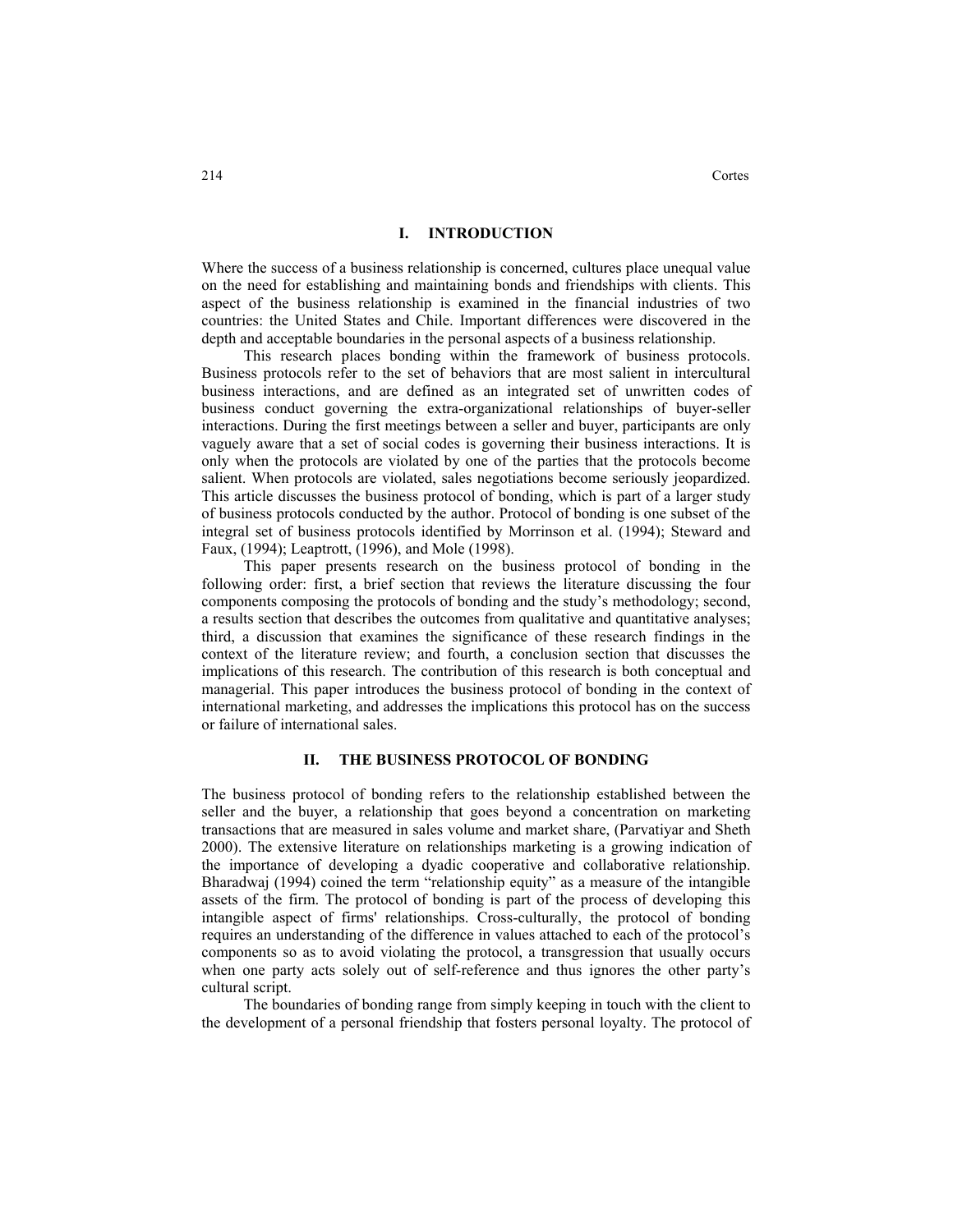### **I. INTRODUCTION**

Where the success of a business relationship is concerned, cultures place unequal value on the need for establishing and maintaining bonds and friendships with clients. This aspect of the business relationship is examined in the financial industries of two countries: the United States and Chile. Important differences were discovered in the depth and acceptable boundaries in the personal aspects of a business relationship.

This research places bonding within the framework of business protocols. Business protocols refer to the set of behaviors that are most salient in intercultural business interactions, and are defined as an integrated set of unwritten codes of business conduct governing the extra-organizational relationships of buyer-seller interactions. During the first meetings between a seller and buyer, participants are only vaguely aware that a set of social codes is governing their business interactions. It is only when the protocols are violated by one of the parties that the protocols become salient. When protocols are violated, sales negotiations become seriously jeopardized. This article discusses the business protocol of bonding, which is part of a larger study of business protocols conducted by the author. Protocol of bonding is one subset of the integral set of business protocols identified by Morrinson et al. (1994); Steward and Faux, (1994); Leaptrott, (1996), and Mole (1998).

This paper presents research on the business protocol of bonding in the following order: first, a brief section that reviews the literature discussing the four components composing the protocols of bonding and the study's methodology; second, a results section that describes the outcomes from qualitative and quantitative analyses; third, a discussion that examines the significance of these research findings in the context of the literature review; and fourth, a conclusion section that discusses the implications of this research. The contribution of this research is both conceptual and managerial. This paper introduces the business protocol of bonding in the context of international marketing, and addresses the implications this protocol has on the success or failure of international sales.

### **II. THE BUSINESS PROTOCOL OF BONDING**

The business protocol of bonding refers to the relationship established between the seller and the buyer, a relationship that goes beyond a concentration on marketing transactions that are measured in sales volume and market share, (Parvatiyar and Sheth 2000). The extensive literature on relationships marketing is a growing indication of the importance of developing a dyadic cooperative and collaborative relationship. Bharadwaj (1994) coined the term "relationship equity" as a measure of the intangible assets of the firm. The protocol of bonding is part of the process of developing this intangible aspect of firms' relationships. Cross-culturally, the protocol of bonding requires an understanding of the difference in values attached to each of the protocol's components so as to avoid violating the protocol, a transgression that usually occurs when one party acts solely out of self-reference and thus ignores the other party's cultural script.

The boundaries of bonding range from simply keeping in touch with the client to the development of a personal friendship that fosters personal loyalty. The protocol of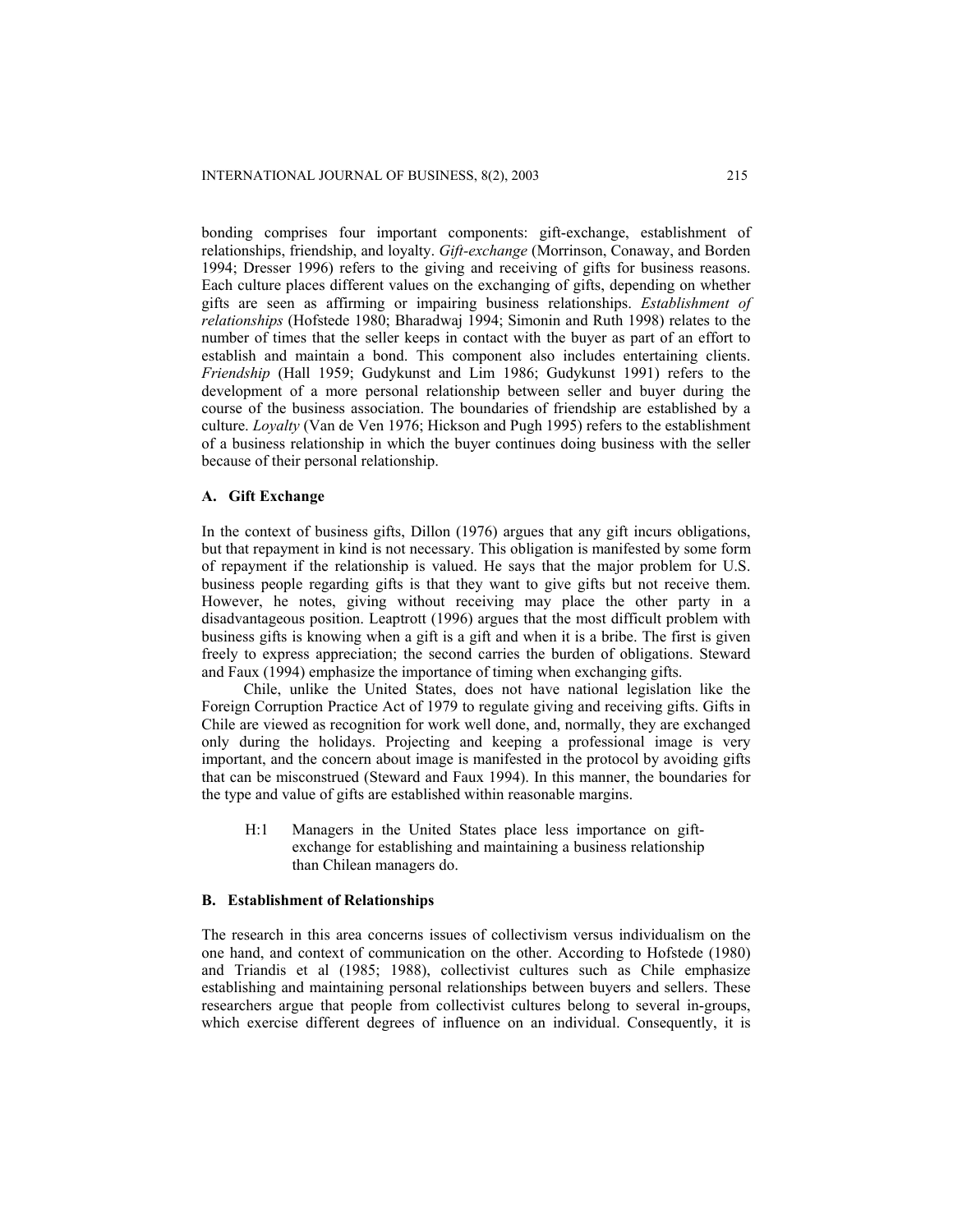bonding comprises four important components: gift-exchange, establishment of relationships, friendship, and loyalty. *Gift-exchange* (Morrinson, Conaway, and Borden 1994; Dresser 1996) refers to the giving and receiving of gifts for business reasons. Each culture places different values on the exchanging of gifts, depending on whether gifts are seen as affirming or impairing business relationships. *Establishment of relationships* (Hofstede 1980; Bharadwaj 1994; Simonin and Ruth 1998) relates to the number of times that the seller keeps in contact with the buyer as part of an effort to establish and maintain a bond. This component also includes entertaining clients. *Friendship* (Hall 1959; Gudykunst and Lim 1986; Gudykunst 1991) refers to the development of a more personal relationship between seller and buyer during the course of the business association. The boundaries of friendship are established by a culture. *Loyalty* (Van de Ven 1976; Hickson and Pugh 1995) refers to the establishment of a business relationship in which the buyer continues doing business with the seller because of their personal relationship.

### **A. Gift Exchange**

In the context of business gifts, Dillon (1976) argues that any gift incurs obligations, but that repayment in kind is not necessary. This obligation is manifested by some form of repayment if the relationship is valued. He says that the major problem for U.S. business people regarding gifts is that they want to give gifts but not receive them. However, he notes, giving without receiving may place the other party in a disadvantageous position. Leaptrott (1996) argues that the most difficult problem with business gifts is knowing when a gift is a gift and when it is a bribe. The first is given freely to express appreciation; the second carries the burden of obligations. Steward and Faux (1994) emphasize the importance of timing when exchanging gifts.

Chile, unlike the United States, does not have national legislation like the Foreign Corruption Practice Act of 1979 to regulate giving and receiving gifts. Gifts in Chile are viewed as recognition for work well done, and, normally, they are exchanged only during the holidays. Projecting and keeping a professional image is very important, and the concern about image is manifested in the protocol by avoiding gifts that can be misconstrued (Steward and Faux 1994). In this manner, the boundaries for the type and value of gifts are established within reasonable margins.

H:1 Managers in the United States place less importance on giftexchange for establishing and maintaining a business relationship than Chilean managers do.

## **B. Establishment of Relationships**

The research in this area concerns issues of collectivism versus individualism on the one hand, and context of communication on the other. According to Hofstede (1980) and Triandis et al (1985; 1988), collectivist cultures such as Chile emphasize establishing and maintaining personal relationships between buyers and sellers. These researchers argue that people from collectivist cultures belong to several in-groups, which exercise different degrees of influence on an individual. Consequently, it is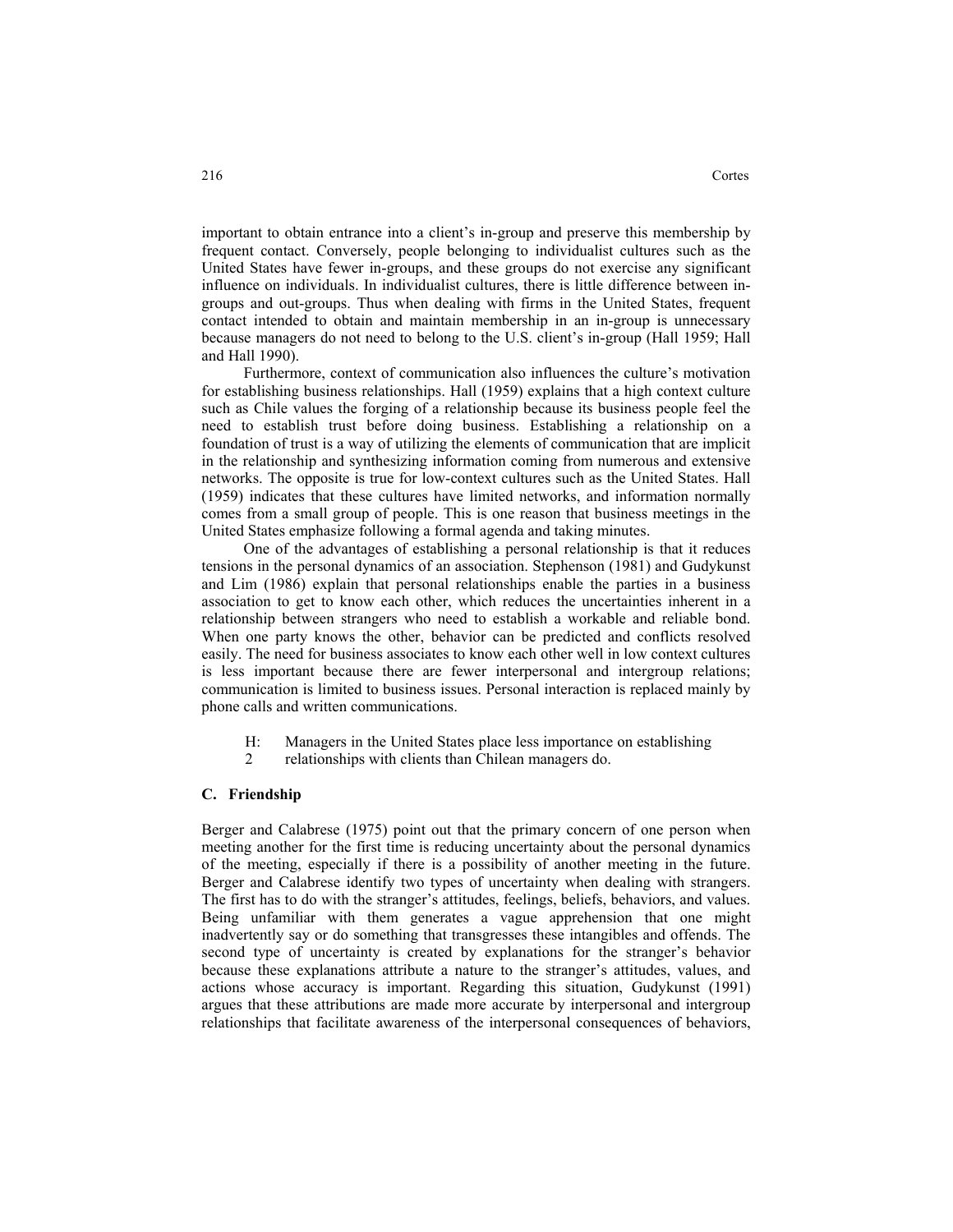important to obtain entrance into a client's in-group and preserve this membership by frequent contact. Conversely, people belonging to individualist cultures such as the United States have fewer in-groups, and these groups do not exercise any significant influence on individuals. In individualist cultures, there is little difference between ingroups and out-groups. Thus when dealing with firms in the United States, frequent contact intended to obtain and maintain membership in an in-group is unnecessary because managers do not need to belong to the U.S. client's in-group (Hall 1959; Hall and Hall 1990).

Furthermore, context of communication also influences the culture's motivation for establishing business relationships. Hall (1959) explains that a high context culture such as Chile values the forging of a relationship because its business people feel the need to establish trust before doing business. Establishing a relationship on a foundation of trust is a way of utilizing the elements of communication that are implicit in the relationship and synthesizing information coming from numerous and extensive networks. The opposite is true for low-context cultures such as the United States. Hall (1959) indicates that these cultures have limited networks, and information normally comes from a small group of people. This is one reason that business meetings in the United States emphasize following a formal agenda and taking minutes.

One of the advantages of establishing a personal relationship is that it reduces tensions in the personal dynamics of an association. Stephenson (1981) and Gudykunst and Lim (1986) explain that personal relationships enable the parties in a business association to get to know each other, which reduces the uncertainties inherent in a relationship between strangers who need to establish a workable and reliable bond. When one party knows the other, behavior can be predicted and conflicts resolved easily. The need for business associates to know each other well in low context cultures is less important because there are fewer interpersonal and intergroup relations; communication is limited to business issues. Personal interaction is replaced mainly by phone calls and written communications.

- H: Managers in the United States place less importance on establishing
- 2 relationships with clients than Chilean managers do.

#### **C. Friendship**

Berger and Calabrese (1975) point out that the primary concern of one person when meeting another for the first time is reducing uncertainty about the personal dynamics of the meeting, especially if there is a possibility of another meeting in the future. Berger and Calabrese identify two types of uncertainty when dealing with strangers. The first has to do with the stranger's attitudes, feelings, beliefs, behaviors, and values. Being unfamiliar with them generates a vague apprehension that one might inadvertently say or do something that transgresses these intangibles and offends. The second type of uncertainty is created by explanations for the stranger's behavior because these explanations attribute a nature to the stranger's attitudes, values, and actions whose accuracy is important. Regarding this situation, Gudykunst (1991) argues that these attributions are made more accurate by interpersonal and intergroup relationships that facilitate awareness of the interpersonal consequences of behaviors,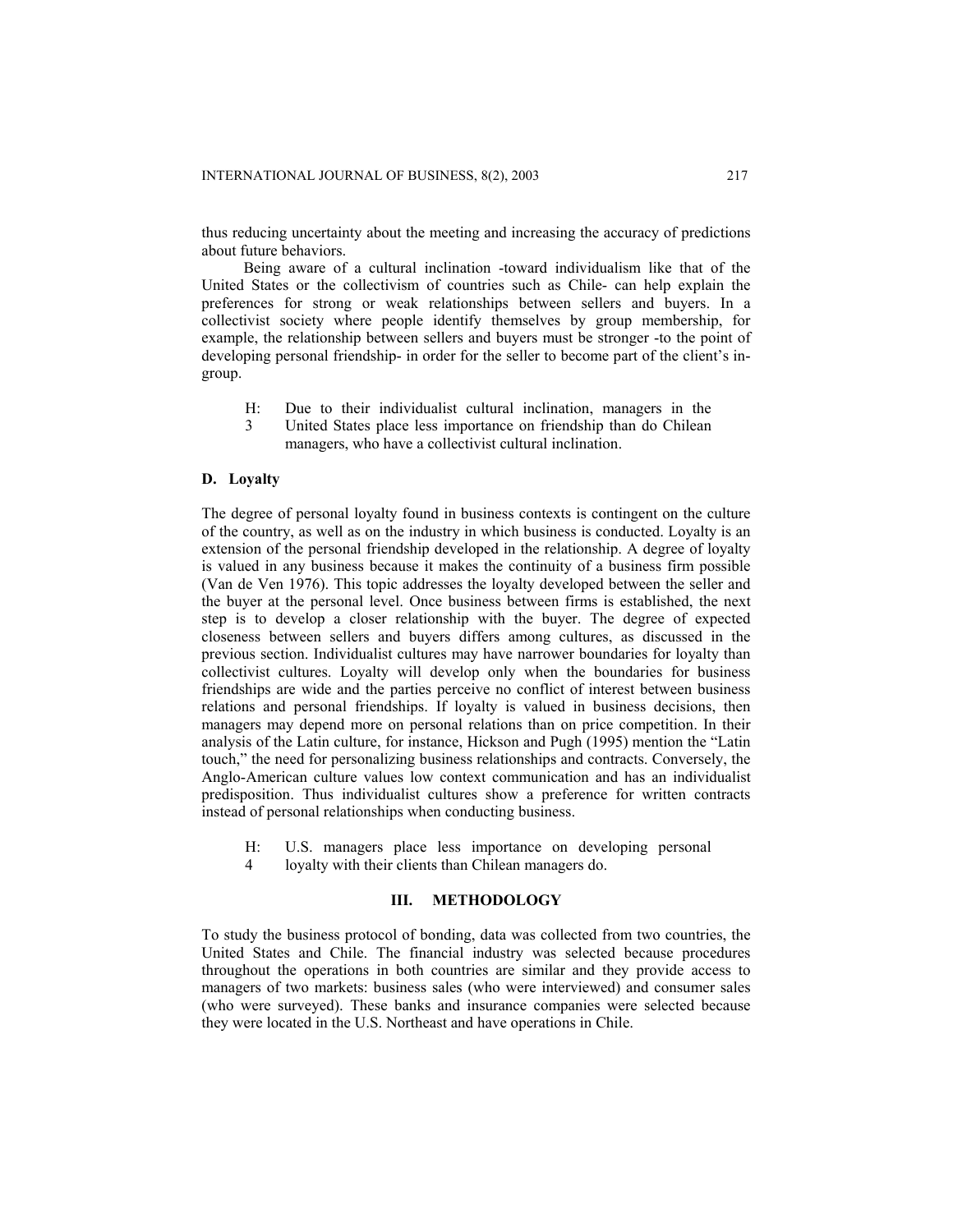thus reducing uncertainty about the meeting and increasing the accuracy of predictions about future behaviors.

Being aware of a cultural inclination -toward individualism like that of the United States or the collectivism of countries such as Chile- can help explain the preferences for strong or weak relationships between sellers and buyers. In a collectivist society where people identify themselves by group membership, for example, the relationship between sellers and buyers must be stronger -to the point of developing personal friendship- in order for the seller to become part of the client's ingroup.

- $H:$ Due to their individualist cultural inclination, managers in the
- 3 United States place less importance on friendship than do Chilean managers, who have a collectivist cultural inclination.

### **D. Loyalty**

The degree of personal loyalty found in business contexts is contingent on the culture of the country, as well as on the industry in which business is conducted. Loyalty is an extension of the personal friendship developed in the relationship. A degree of loyalty is valued in any business because it makes the continuity of a business firm possible (Van de Ven 1976). This topic addresses the loyalty developed between the seller and the buyer at the personal level. Once business between firms is established, the next step is to develop a closer relationship with the buyer. The degree of expected closeness between sellers and buyers differs among cultures, as discussed in the previous section. Individualist cultures may have narrower boundaries for loyalty than collectivist cultures. Loyalty will develop only when the boundaries for business friendships are wide and the parties perceive no conflict of interest between business relations and personal friendships. If loyalty is valued in business decisions, then managers may depend more on personal relations than on price competition. In their analysis of the Latin culture, for instance, Hickson and Pugh (1995) mention the "Latin touch," the need for personalizing business relationships and contracts. Conversely, the Anglo-American culture values low context communication and has an individualist predisposition. Thus individualist cultures show a preference for written contracts instead of personal relationships when conducting business.

- H: U.S. managers place less importance on developing personal
- 4 loyalty with their clients than Chilean managers do.

## **III. METHODOLOGY**

To study the business protocol of bonding, data was collected from two countries, the United States and Chile. The financial industry was selected because procedures throughout the operations in both countries are similar and they provide access to managers of two markets: business sales (who were interviewed) and consumer sales (who were surveyed). These banks and insurance companies were selected because they were located in the U.S. Northeast and have operations in Chile.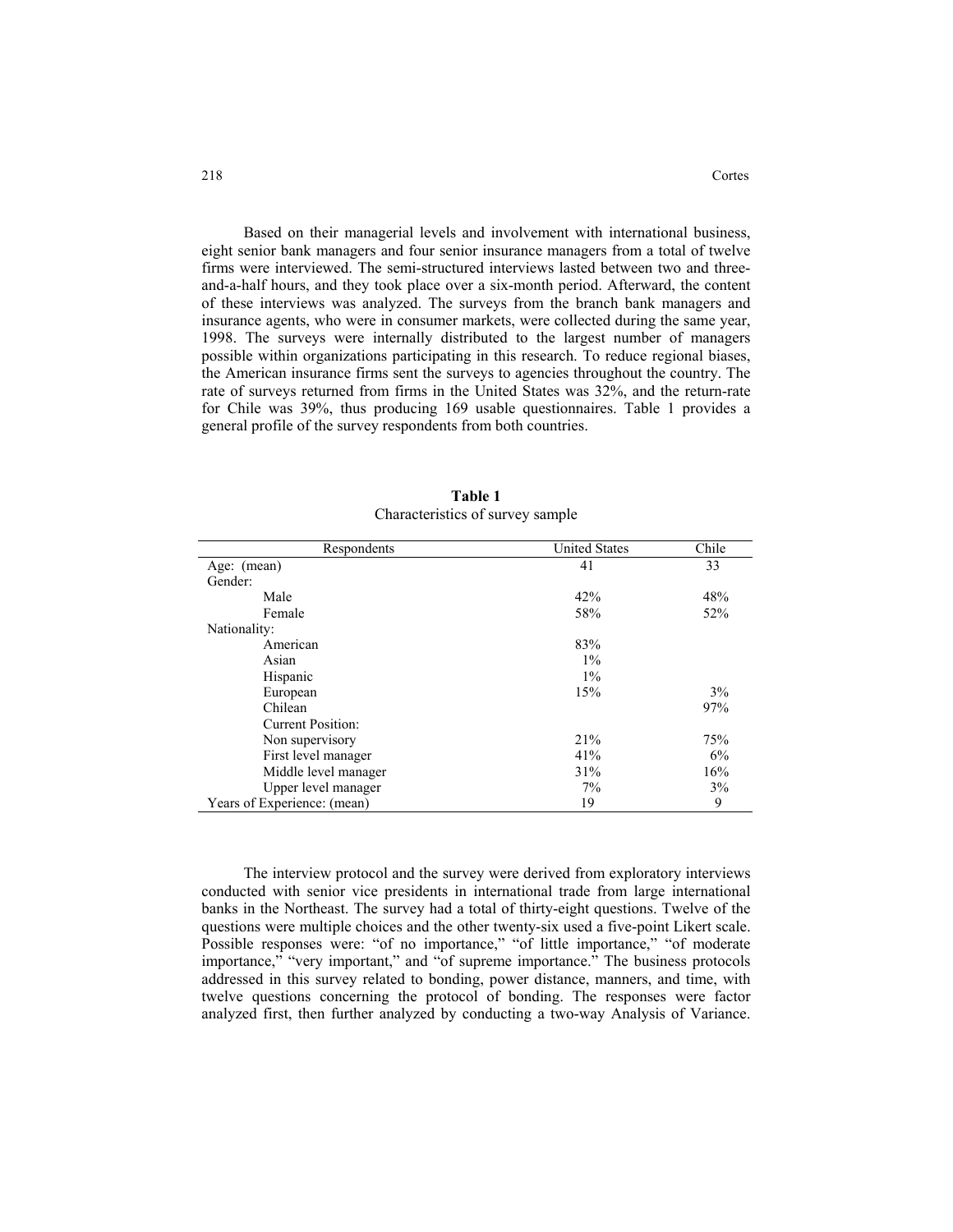Based on their managerial levels and involvement with international business, eight senior bank managers and four senior insurance managers from a total of twelve firms were interviewed. The semi-structured interviews lasted between two and threeand-a-half hours, and they took place over a six-month period. Afterward, the content of these interviews was analyzed. The surveys from the branch bank managers and insurance agents, who were in consumer markets, were collected during the same year, 1998. The surveys were internally distributed to the largest number of managers possible within organizations participating in this research. To reduce regional biases, the American insurance firms sent the surveys to agencies throughout the country. The rate of surveys returned from firms in the United States was 32%, and the return-rate for Chile was 39%, thus producing 169 usable questionnaires. Table 1 provides a general profile of the survey respondents from both countries.

| Respondents                 | <b>United States</b> | Chile |
|-----------------------------|----------------------|-------|
| Age: (mean)                 | 41                   | 33    |
| Gender:                     |                      |       |
| Male                        | 42%                  | 48%   |
| Female                      | 58%                  | 52%   |
| Nationality:                |                      |       |
| American                    | 83%                  |       |
| Asian                       | $1\%$                |       |
| Hispanic                    | $1\%$                |       |
| European                    | 15%                  | 3%    |
| Chilean                     |                      | 97%   |
| <b>Current Position:</b>    |                      |       |
| Non supervisory             | 21%                  | 75%   |
| First level manager         | 41%                  | 6%    |
| Middle level manager        | 31%                  | 16%   |
| Upper level manager         | $7\%$                | 3%    |
| Years of Experience: (mean) | 19                   | 9     |

**Table 1**  Characteristics of survey sample

The interview protocol and the survey were derived from exploratory interviews conducted with senior vice presidents in international trade from large international banks in the Northeast. The survey had a total of thirty-eight questions. Twelve of the questions were multiple choices and the other twenty-six used a five-point Likert scale. Possible responses were: "of no importance," "of little importance," "of moderate importance," "very important," and "of supreme importance." The business protocols addressed in this survey related to bonding, power distance, manners, and time, with twelve questions concerning the protocol of bonding. The responses were factor analyzed first, then further analyzed by conducting a two-way Analysis of Variance.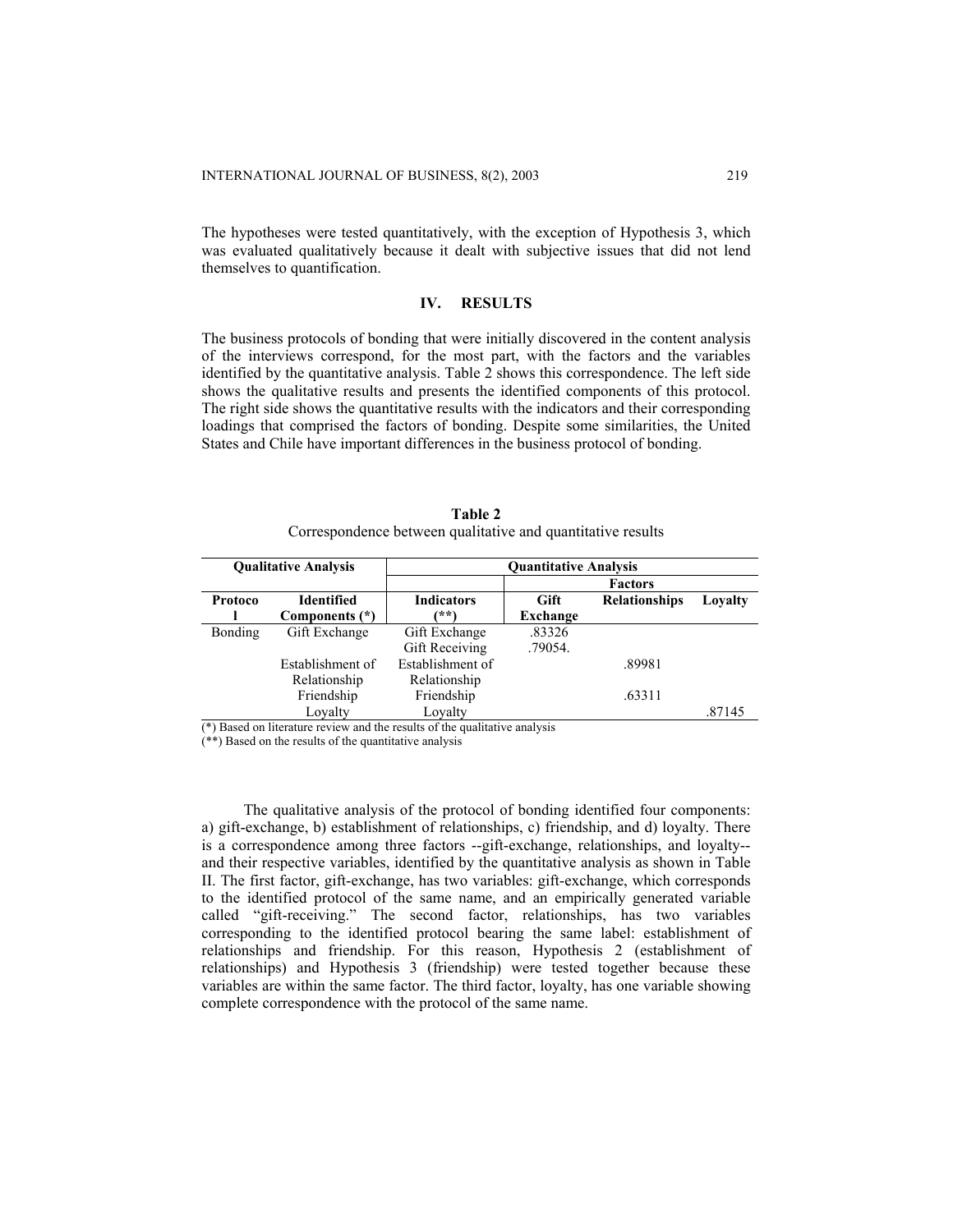The hypotheses were tested quantitatively, with the exception of Hypothesis 3, which was evaluated qualitatively because it dealt with subjective issues that did not lend themselves to quantification.

#### **IV. RESULTS**

The business protocols of bonding that were initially discovered in the content analysis of the interviews correspond, for the most part, with the factors and the variables identified by the quantitative analysis. Table 2 shows this correspondence. The left side shows the qualitative results and presents the identified components of this protocol. The right side shows the quantitative results with the indicators and their corresponding loadings that comprised the factors of bonding. Despite some similarities, the United States and Chile have important differences in the business protocol of bonding.

| <b>Qualitative Analysis</b> |                  | <b>Quantitative Analysis</b> |                |                      |         |
|-----------------------------|------------------|------------------------------|----------------|----------------------|---------|
|                             |                  |                              | <b>Factors</b> |                      |         |
| Protoco                     | Identified       | <b>Indicators</b>            | <b>Gift</b>    | <b>Relationships</b> | Lovalty |
|                             | Components (*)   | (**)                         | Exchange       |                      |         |
| Bonding                     | Gift Exchange    | Gift Exchange                | .83326         |                      |         |
|                             |                  | <b>Gift Receiving</b>        | .79054.        |                      |         |
|                             | Establishment of | Establishment of             |                | .89981               |         |
|                             | Relationship     | Relationship                 |                |                      |         |
|                             | Friendship       | Friendship                   |                | .63311               |         |
|                             | Lovalty          | Lovalty                      |                |                      | .87145  |

**Table 2**  Correspondence between qualitative and quantitative results

 $\overline{(*)}$  Based on literature review and the results of the qualitative analysis

(\*\*) Based on the results of the quantitative analysis

The qualitative analysis of the protocol of bonding identified four components: a) gift-exchange, b) establishment of relationships, c) friendship, and d) loyalty. There is a correspondence among three factors --gift-exchange, relationships, and loyalty- and their respective variables, identified by the quantitative analysis as shown in Table II. The first factor, gift-exchange, has two variables: gift-exchange, which corresponds to the identified protocol of the same name, and an empirically generated variable called "gift-receiving." The second factor, relationships, has two variables corresponding to the identified protocol bearing the same label: establishment of relationships and friendship. For this reason, Hypothesis 2 (establishment of relationships) and Hypothesis 3 (friendship) were tested together because these variables are within the same factor. The third factor, loyalty, has one variable showing complete correspondence with the protocol of the same name.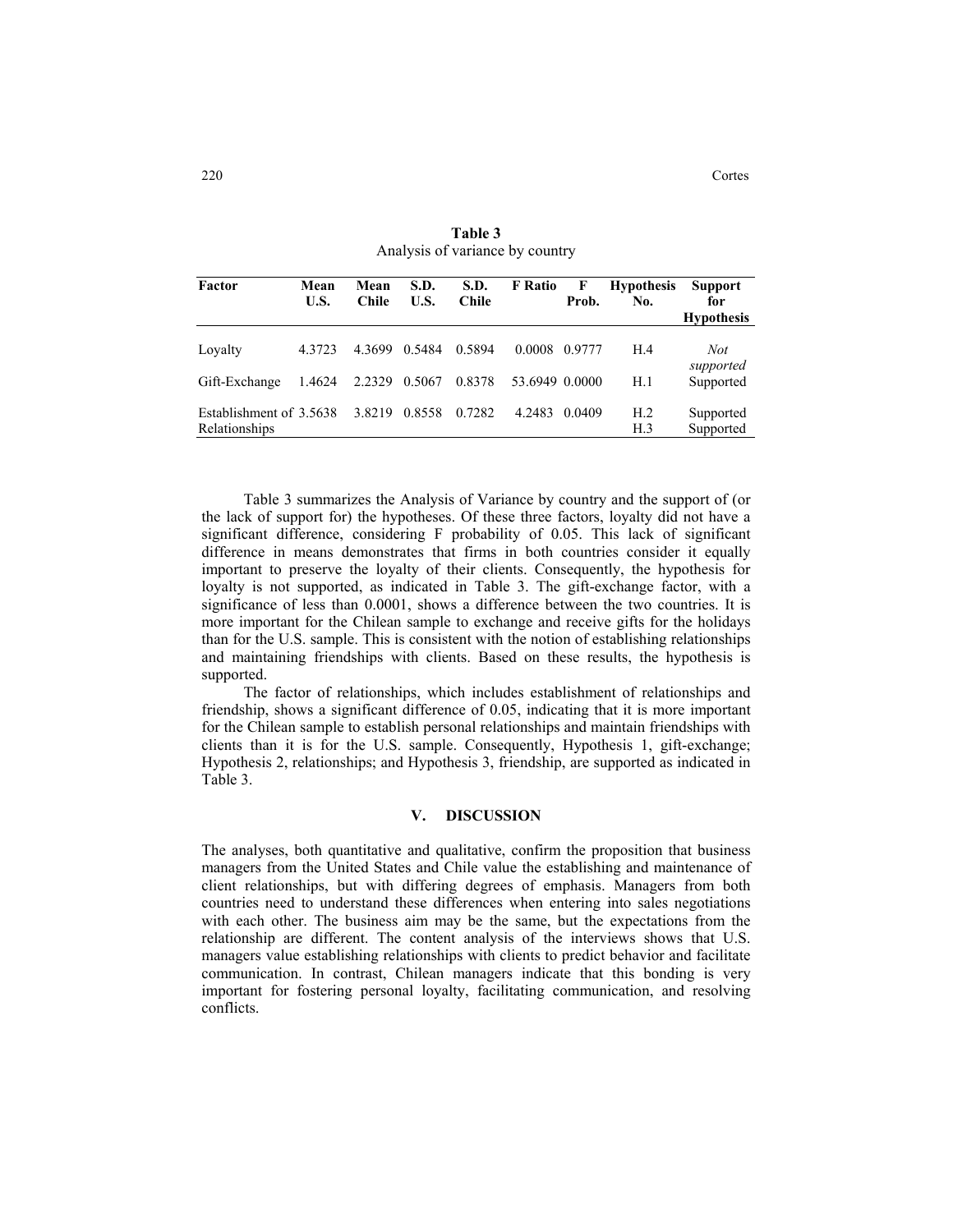| Factor                                   | Mean<br>U.S. | Mean<br><b>Chile</b> | S.D.<br>U.S. | S.D.<br><b>Chile</b> | <b>F</b> Ratio | F<br>Prob. | <b>Hypothesis</b><br>No. | <b>Support</b><br>for<br><b>Hypothesis</b> |
|------------------------------------------|--------------|----------------------|--------------|----------------------|----------------|------------|--------------------------|--------------------------------------------|
| Lovalty                                  | 4.3723       | 4.3699               | 0.5484       | 0.5894               | 0.0008 0.9777  |            | H.4                      | Not<br>supported                           |
| Gift-Exchange                            | 1.4624       | 2.2329 0.5067        |              | 0.8378               | 53.6949 0.0000 |            | H.1                      | Supported                                  |
| Establishment of 3.5638<br>Relationships |              | 3.8219               | 0.8558       | 0.7282               | 4.2483         | 0.0409     | H <sub>.2</sub><br>H.3   | Supported<br>Supported                     |

**Table 3**  Analysis of variance by country

Table 3 summarizes the Analysis of Variance by country and the support of (or the lack of support for) the hypotheses. Of these three factors, loyalty did not have a significant difference, considering F probability of 0.05. This lack of significant difference in means demonstrates that firms in both countries consider it equally important to preserve the loyalty of their clients. Consequently, the hypothesis for loyalty is not supported, as indicated in Table 3. The gift-exchange factor, with a significance of less than 0.0001, shows a difference between the two countries. It is more important for the Chilean sample to exchange and receive gifts for the holidays than for the U.S. sample. This is consistent with the notion of establishing relationships and maintaining friendships with clients. Based on these results, the hypothesis is supported.

The factor of relationships, which includes establishment of relationships and friendship, shows a significant difference of 0.05, indicating that it is more important for the Chilean sample to establish personal relationships and maintain friendships with clients than it is for the U.S. sample. Consequently, Hypothesis 1, gift-exchange; Hypothesis 2, relationships; and Hypothesis 3, friendship, are supported as indicated in Table 3.

## **V. DISCUSSION**

The analyses, both quantitative and qualitative, confirm the proposition that business managers from the United States and Chile value the establishing and maintenance of client relationships, but with differing degrees of emphasis. Managers from both countries need to understand these differences when entering into sales negotiations with each other. The business aim may be the same, but the expectations from the relationship are different. The content analysis of the interviews shows that U.S. managers value establishing relationships with clients to predict behavior and facilitate communication. In contrast, Chilean managers indicate that this bonding is very important for fostering personal loyalty, facilitating communication, and resolving conflicts.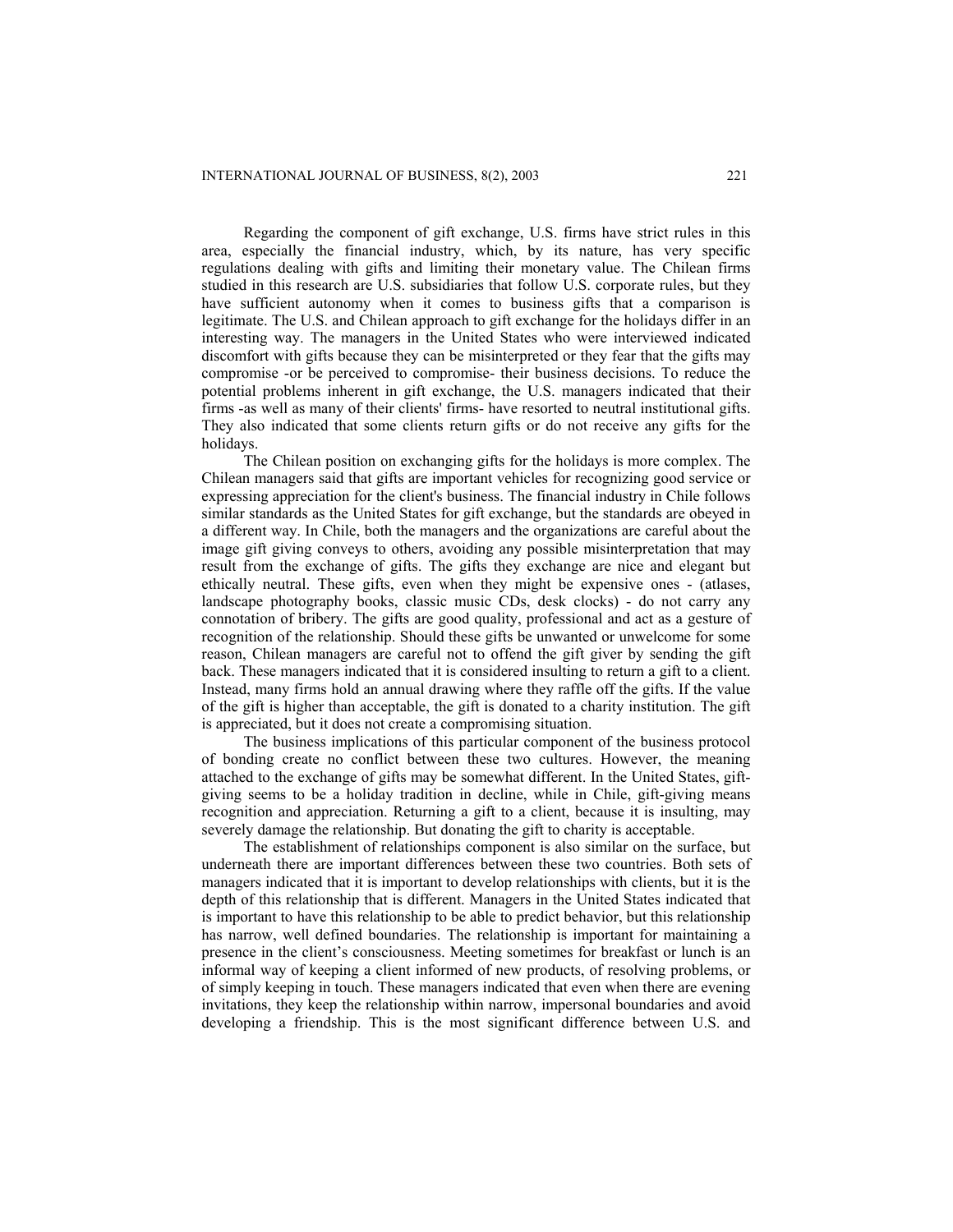Regarding the component of gift exchange, U.S. firms have strict rules in this area, especially the financial industry, which, by its nature, has very specific regulations dealing with gifts and limiting their monetary value. The Chilean firms studied in this research are U.S. subsidiaries that follow U.S. corporate rules, but they have sufficient autonomy when it comes to business gifts that a comparison is legitimate. The U.S. and Chilean approach to gift exchange for the holidays differ in an interesting way. The managers in the United States who were interviewed indicated discomfort with gifts because they can be misinterpreted or they fear that the gifts may compromise -or be perceived to compromise- their business decisions. To reduce the potential problems inherent in gift exchange, the U.S. managers indicated that their firms -as well as many of their clients' firms- have resorted to neutral institutional gifts. They also indicated that some clients return gifts or do not receive any gifts for the holidays.

The Chilean position on exchanging gifts for the holidays is more complex. The Chilean managers said that gifts are important vehicles for recognizing good service or expressing appreciation for the client's business. The financial industry in Chile follows similar standards as the United States for gift exchange, but the standards are obeyed in a different way. In Chile, both the managers and the organizations are careful about the image gift giving conveys to others, avoiding any possible misinterpretation that may result from the exchange of gifts. The gifts they exchange are nice and elegant but ethically neutral. These gifts, even when they might be expensive ones - (atlases, landscape photography books, classic music CDs, desk clocks) - do not carry any connotation of bribery. The gifts are good quality, professional and act as a gesture of recognition of the relationship. Should these gifts be unwanted or unwelcome for some reason, Chilean managers are careful not to offend the gift giver by sending the gift back. These managers indicated that it is considered insulting to return a gift to a client. Instead, many firms hold an annual drawing where they raffle off the gifts. If the value of the gift is higher than acceptable, the gift is donated to a charity institution. The gift is appreciated, but it does not create a compromising situation.

The business implications of this particular component of the business protocol of bonding create no conflict between these two cultures. However, the meaning attached to the exchange of gifts may be somewhat different. In the United States, giftgiving seems to be a holiday tradition in decline, while in Chile, gift-giving means recognition and appreciation. Returning a gift to a client, because it is insulting, may severely damage the relationship. But donating the gift to charity is acceptable.

The establishment of relationships component is also similar on the surface, but underneath there are important differences between these two countries. Both sets of managers indicated that it is important to develop relationships with clients, but it is the depth of this relationship that is different. Managers in the United States indicated that is important to have this relationship to be able to predict behavior, but this relationship has narrow, well defined boundaries. The relationship is important for maintaining a presence in the client's consciousness. Meeting sometimes for breakfast or lunch is an informal way of keeping a client informed of new products, of resolving problems, or of simply keeping in touch. These managers indicated that even when there are evening invitations, they keep the relationship within narrow, impersonal boundaries and avoid developing a friendship. This is the most significant difference between U.S. and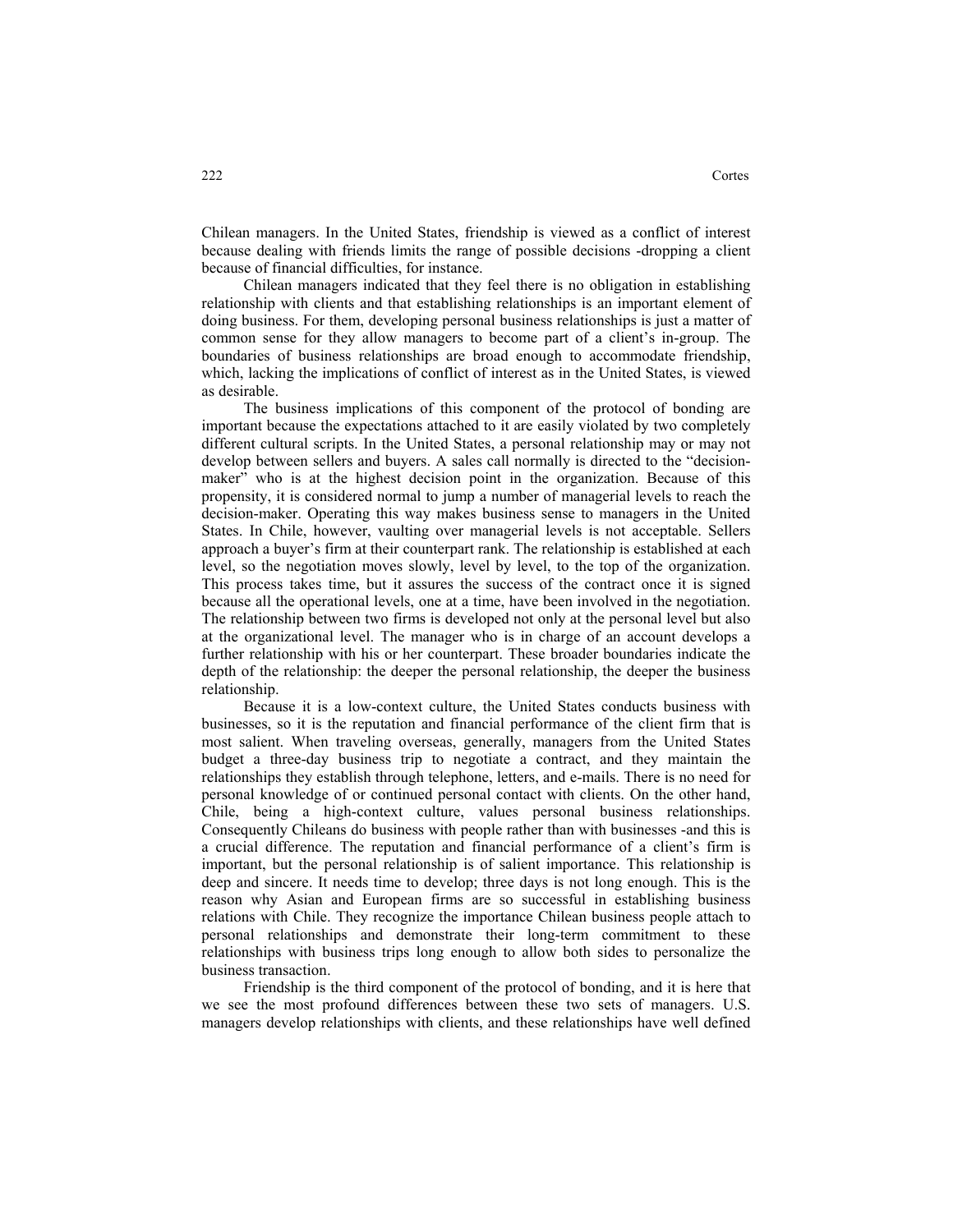Chilean managers. In the United States, friendship is viewed as a conflict of interest because dealing with friends limits the range of possible decisions -dropping a client because of financial difficulties, for instance.

Chilean managers indicated that they feel there is no obligation in establishing relationship with clients and that establishing relationships is an important element of doing business. For them, developing personal business relationships is just a matter of common sense for they allow managers to become part of a client's in-group. The boundaries of business relationships are broad enough to accommodate friendship, which, lacking the implications of conflict of interest as in the United States, is viewed as desirable.

The business implications of this component of the protocol of bonding are important because the expectations attached to it are easily violated by two completely different cultural scripts. In the United States, a personal relationship may or may not develop between sellers and buyers. A sales call normally is directed to the "decisionmaker" who is at the highest decision point in the organization. Because of this propensity, it is considered normal to jump a number of managerial levels to reach the decision-maker. Operating this way makes business sense to managers in the United States. In Chile, however, vaulting over managerial levels is not acceptable. Sellers approach a buyer's firm at their counterpart rank. The relationship is established at each level, so the negotiation moves slowly, level by level, to the top of the organization. This process takes time, but it assures the success of the contract once it is signed because all the operational levels, one at a time, have been involved in the negotiation. The relationship between two firms is developed not only at the personal level but also at the organizational level. The manager who is in charge of an account develops a further relationship with his or her counterpart. These broader boundaries indicate the depth of the relationship: the deeper the personal relationship, the deeper the business relationship.

Because it is a low-context culture, the United States conducts business with businesses, so it is the reputation and financial performance of the client firm that is most salient. When traveling overseas, generally, managers from the United States budget a three-day business trip to negotiate a contract, and they maintain the relationships they establish through telephone, letters, and e-mails. There is no need for personal knowledge of or continued personal contact with clients. On the other hand, Chile, being a high-context culture, values personal business relationships. Consequently Chileans do business with people rather than with businesses -and this is a crucial difference. The reputation and financial performance of a client's firm is important, but the personal relationship is of salient importance. This relationship is deep and sincere. It needs time to develop; three days is not long enough. This is the reason why Asian and European firms are so successful in establishing business relations with Chile. They recognize the importance Chilean business people attach to personal relationships and demonstrate their long-term commitment to these relationships with business trips long enough to allow both sides to personalize the business transaction.

Friendship is the third component of the protocol of bonding, and it is here that we see the most profound differences between these two sets of managers. U.S. managers develop relationships with clients, and these relationships have well defined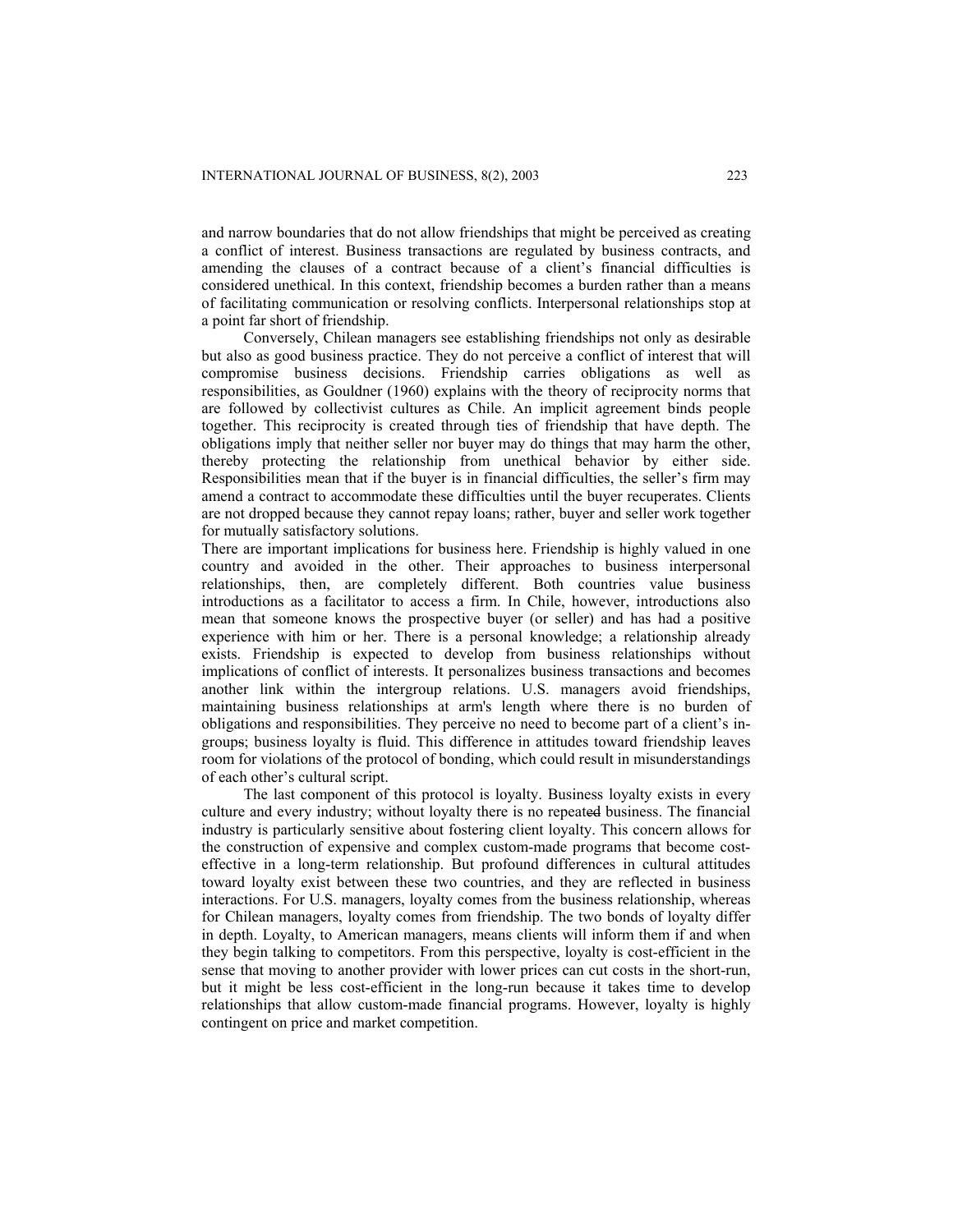and narrow boundaries that do not allow friendships that might be perceived as creating a conflict of interest. Business transactions are regulated by business contracts, and amending the clauses of a contract because of a client's financial difficulties is considered unethical. In this context, friendship becomes a burden rather than a means of facilitating communication or resolving conflicts. Interpersonal relationships stop at a point far short of friendship.

Conversely, Chilean managers see establishing friendships not only as desirable but also as good business practice. They do not perceive a conflict of interest that will compromise business decisions. Friendship carries obligations as well as responsibilities, as Gouldner (1960) explains with the theory of reciprocity norms that are followed by collectivist cultures as Chile. An implicit agreement binds people together. This reciprocity is created through ties of friendship that have depth. The obligations imply that neither seller nor buyer may do things that may harm the other, thereby protecting the relationship from unethical behavior by either side. Responsibilities mean that if the buyer is in financial difficulties, the seller's firm may amend a contract to accommodate these difficulties until the buyer recuperates. Clients are not dropped because they cannot repay loans; rather, buyer and seller work together for mutually satisfactory solutions.

There are important implications for business here. Friendship is highly valued in one country and avoided in the other. Their approaches to business interpersonal relationships, then, are completely different. Both countries value business introductions as a facilitator to access a firm. In Chile, however, introductions also mean that someone knows the prospective buyer (or seller) and has had a positive experience with him or her. There is a personal knowledge; a relationship already exists. Friendship is expected to develop from business relationships without implications of conflict of interests. It personalizes business transactions and becomes another link within the intergroup relations. U.S. managers avoid friendships, maintaining business relationships at arm's length where there is no burden of obligations and responsibilities. They perceive no need to become part of a client's ingroups; business loyalty is fluid. This difference in attitudes toward friendship leaves room for violations of the protocol of bonding, which could result in misunderstandings of each other's cultural script.

The last component of this protocol is loyalty. Business loyalty exists in every culture and every industry; without loyalty there is no repeated business. The financial industry is particularly sensitive about fostering client loyalty. This concern allows for the construction of expensive and complex custom-made programs that become costeffective in a long-term relationship. But profound differences in cultural attitudes toward loyalty exist between these two countries, and they are reflected in business interactions. For U.S. managers, loyalty comes from the business relationship, whereas for Chilean managers, loyalty comes from friendship. The two bonds of loyalty differ in depth. Loyalty, to American managers, means clients will inform them if and when they begin talking to competitors. From this perspective, loyalty is cost-efficient in the sense that moving to another provider with lower prices can cut costs in the short-run, but it might be less cost-efficient in the long-run because it takes time to develop relationships that allow custom-made financial programs. However, loyalty is highly contingent on price and market competition.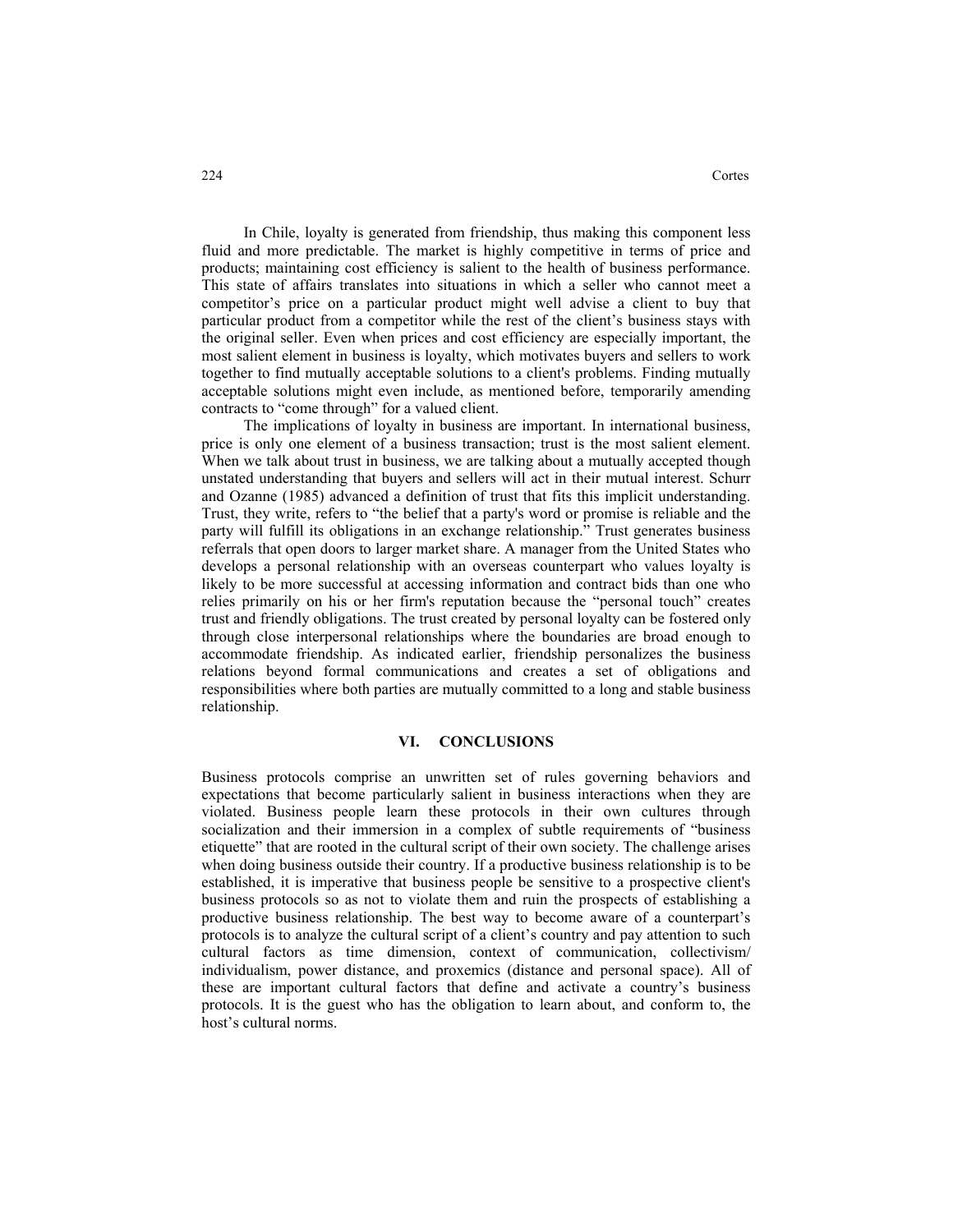In Chile, loyalty is generated from friendship, thus making this component less fluid and more predictable. The market is highly competitive in terms of price and products; maintaining cost efficiency is salient to the health of business performance. This state of affairs translates into situations in which a seller who cannot meet a competitor's price on a particular product might well advise a client to buy that particular product from a competitor while the rest of the client's business stays with the original seller. Even when prices and cost efficiency are especially important, the most salient element in business is loyalty, which motivates buyers and sellers to work together to find mutually acceptable solutions to a client's problems. Finding mutually acceptable solutions might even include, as mentioned before, temporarily amending contracts to "come through" for a valued client.

The implications of loyalty in business are important. In international business, price is only one element of a business transaction; trust is the most salient element. When we talk about trust in business, we are talking about a mutually accepted though unstated understanding that buyers and sellers will act in their mutual interest. Schurr and Ozanne (1985) advanced a definition of trust that fits this implicit understanding. Trust, they write, refers to "the belief that a party's word or promise is reliable and the party will fulfill its obligations in an exchange relationship." Trust generates business referrals that open doors to larger market share. A manager from the United States who develops a personal relationship with an overseas counterpart who values loyalty is likely to be more successful at accessing information and contract bids than one who relies primarily on his or her firm's reputation because the "personal touch" creates trust and friendly obligations. The trust created by personal loyalty can be fostered only through close interpersonal relationships where the boundaries are broad enough to accommodate friendship. As indicated earlier, friendship personalizes the business relations beyond formal communications and creates a set of obligations and responsibilities where both parties are mutually committed to a long and stable business relationship.

#### **VI. CONCLUSIONS**

Business protocols comprise an unwritten set of rules governing behaviors and expectations that become particularly salient in business interactions when they are violated. Business people learn these protocols in their own cultures through socialization and their immersion in a complex of subtle requirements of "business etiquette" that are rooted in the cultural script of their own society. The challenge arises when doing business outside their country. If a productive business relationship is to be established, it is imperative that business people be sensitive to a prospective client's business protocols so as not to violate them and ruin the prospects of establishing a productive business relationship. The best way to become aware of a counterpart's protocols is to analyze the cultural script of a client's country and pay attention to such cultural factors as time dimension, context of communication, collectivism/ individualism, power distance, and proxemics (distance and personal space). All of these are important cultural factors that define and activate a country's business protocols. It is the guest who has the obligation to learn about, and conform to, the host's cultural norms.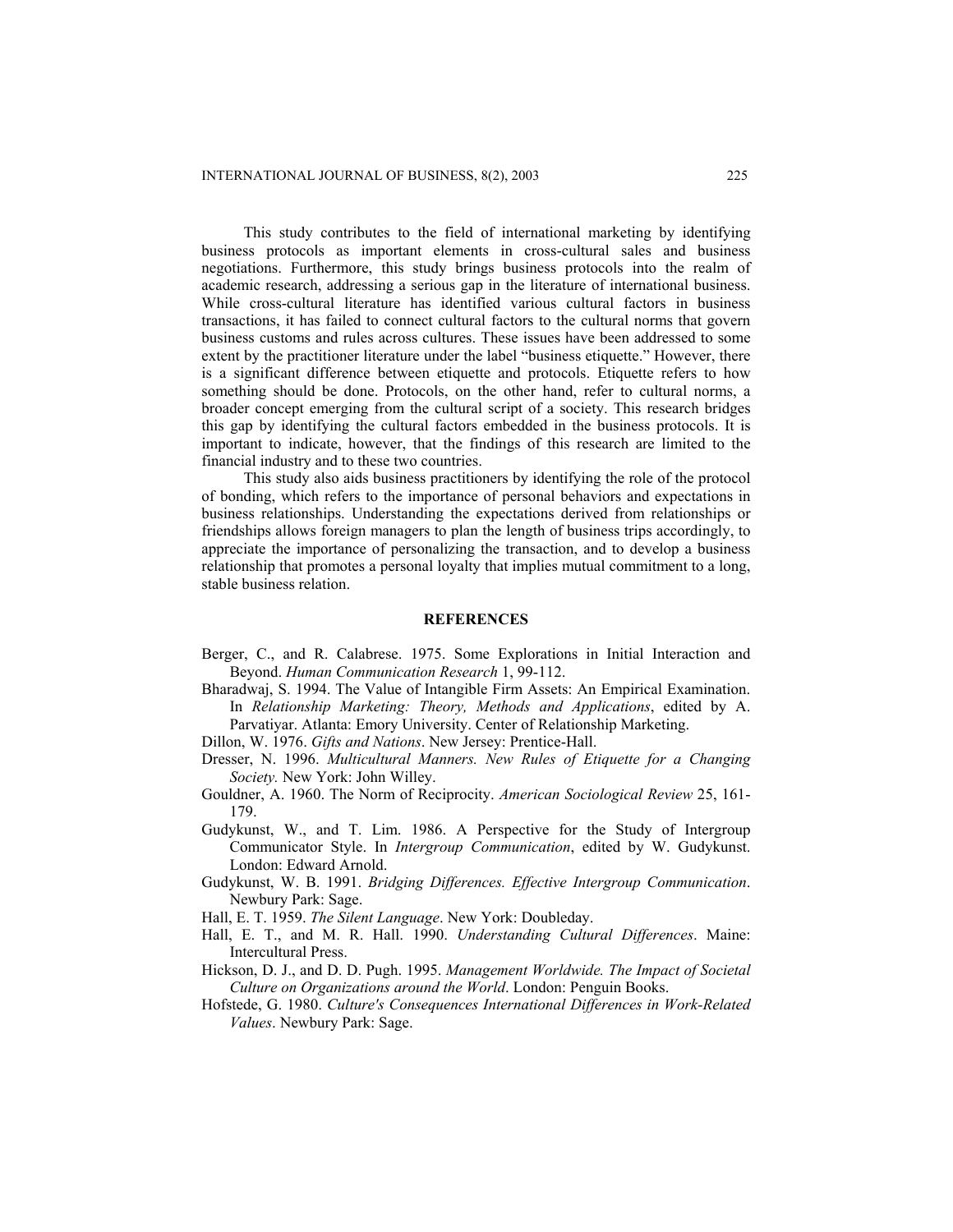This study contributes to the field of international marketing by identifying business protocols as important elements in cross-cultural sales and business negotiations. Furthermore, this study brings business protocols into the realm of academic research, addressing a serious gap in the literature of international business. While cross-cultural literature has identified various cultural factors in business transactions, it has failed to connect cultural factors to the cultural norms that govern business customs and rules across cultures. These issues have been addressed to some extent by the practitioner literature under the label "business etiquette." However, there is a significant difference between etiquette and protocols. Etiquette refers to how something should be done. Protocols, on the other hand, refer to cultural norms, a broader concept emerging from the cultural script of a society. This research bridges this gap by identifying the cultural factors embedded in the business protocols. It is important to indicate, however, that the findings of this research are limited to the financial industry and to these two countries.

This study also aids business practitioners by identifying the role of the protocol of bonding, which refers to the importance of personal behaviors and expectations in business relationships. Understanding the expectations derived from relationships or friendships allows foreign managers to plan the length of business trips accordingly, to appreciate the importance of personalizing the transaction, and to develop a business relationship that promotes a personal loyalty that implies mutual commitment to a long, stable business relation.

#### **REFERENCES**

- Berger, C., and R. Calabrese. 1975. Some Explorations in Initial Interaction and Beyond. *Human Communication Research* 1, 99-112.
- Bharadwaj, S. 1994. The Value of Intangible Firm Assets: An Empirical Examination. In *Relationship Marketing: Theory, Methods and Applications*, edited by A. Parvatiyar. Atlanta: Emory University. Center of Relationship Marketing.
- Dillon, W. 1976. *Gifts and Nations*. New Jersey: Prentice-Hall.
- Dresser, N. 1996. *Multicultural Manners. New Rules of Etiquette for a Changing Society.* New York: John Willey.
- Gouldner, A. 1960. The Norm of Reciprocity. *American Sociological Review* 25, 161- 179.
- Gudykunst, W., and T. Lim. 1986. A Perspective for the Study of Intergroup Communicator Style. In *Intergroup Communication*, edited by W. Gudykunst. London: Edward Arnold.
- Gudykunst, W. B. 1991. *Bridging Differences. Effective Intergroup Communication*. Newbury Park: Sage.
- Hall, E. T. 1959. *The Silent Language*. New York: Doubleday.
- Hall, E. T., and M. R. Hall. 1990. *Understanding Cultural Differences*. Maine: Intercultural Press.
- Hickson, D. J., and D. D. Pugh. 1995. *Management Worldwide. The Impact of Societal Culture on Organizations around the World*. London: Penguin Books.
- Hofstede, G. 1980. *Culture's Consequences International Differences in Work-Related Values*. Newbury Park: Sage.